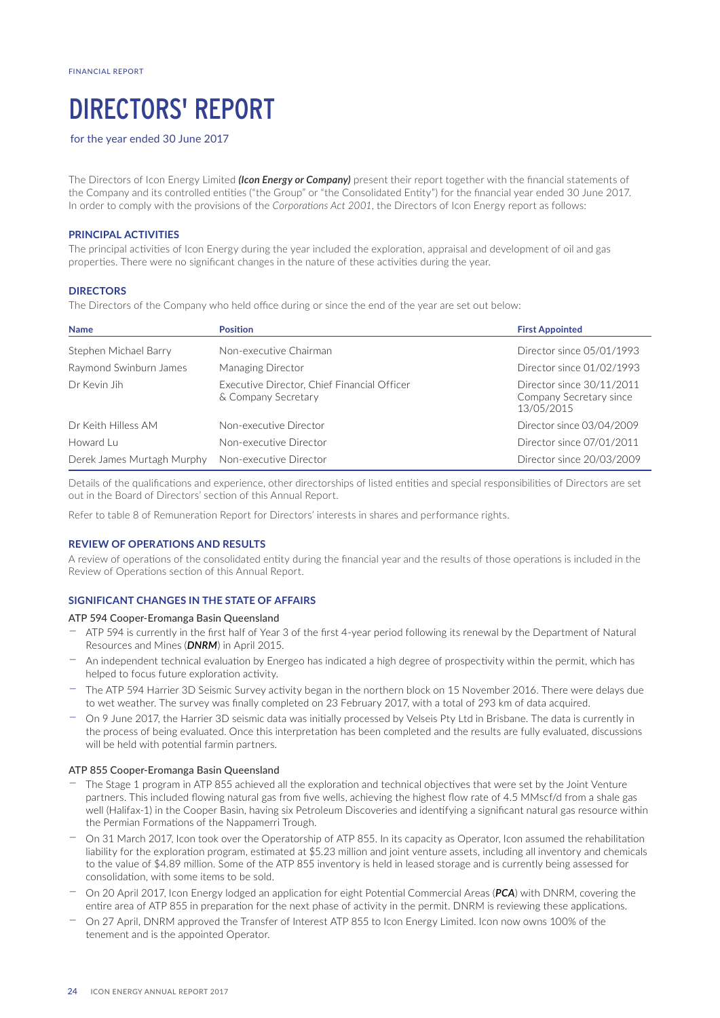# DIRECTORS' REPORT

for the year ended 30 June 2017

The Directors of Icon Energy Limited *(Icon Energy or Company)* present their report together with the financial statements of the Company and its controlled entities ("the Group" or "the Consolidated Entity") for the financial year ended 30 June 2017. In order to comply with the provisions of the *Corporations Act 2001*, the Directors of Icon Energy report as follows:

# **PRINCIPAL ACTIVITIES**

The principal activities of Icon Energy during the year included the exploration, appraisal and development of oil and gas properties. There were no significant changes in the nature of these activities during the year.

## **DIRECTORS**

The Directors of the Company who held office during or since the end of the year are set out below:

| <b>Name</b>                | <b>Position</b>                                                    | <b>First Appointed</b>                                             |
|----------------------------|--------------------------------------------------------------------|--------------------------------------------------------------------|
| Stephen Michael Barry      | Non-executive Chairman                                             | Director since 05/01/1993                                          |
| Raymond Swinburn James     | Managing Director                                                  | Director since 01/02/1993                                          |
| Dr Kevin Jih               | Executive Director, Chief Financial Officer<br>& Company Secretary | Director since 30/11/2011<br>Company Secretary since<br>13/05/2015 |
| Dr Keith Hilless AM        | Non-executive Director                                             | Director since 03/04/2009                                          |
| Howard Lu                  | Non-executive Director                                             | Director since 07/01/2011                                          |
| Derek James Murtagh Murphy | Non-executive Director                                             | Director since 20/03/2009                                          |

Details of the qualifications and experience, other directorships of listed entities and special responsibilities of Directors are set out in the Board of Directors' section of this Annual Report.

Refer to table 8 of Remuneration Report for Directors' interests in shares and performance rights.

# **REVIEW OF OPERATIONS AND RESULTS**

A review of operations of the consolidated entity during the financial year and the results of those operations is included in the Review of Operations section of this Annual Report.

# **SIGNIFICANT CHANGES IN THE STATE OF AFFAIRS**

#### ATP 594 Cooper-Eromanga Basin Queensland

- − ATP 594 is currently in the first half of Year 3 of the first 4-year period following its renewal by the Department of Natural Resources and Mines (*DNRM*) in April 2015.
- − An independent technical evaluation by Energeo has indicated a high degree of prospectivity within the permit, which has helped to focus future exploration activity.
- The ATP 594 Harrier 3D Seismic Survey activity began in the northern block on 15 November 2016. There were delays due to wet weather. The survey was finally completed on 23 February 2017, with a total of 293 km of data acquired.
- − On 9 June 2017, the Harrier 3D seismic data was initially processed by Velseis Pty Ltd in Brisbane. The data is currently in the process of being evaluated. Once this interpretation has been completed and the results are fully evaluated, discussions will be held with potential farmin partners.

#### ATP 855 Cooper-Eromanga Basin Queensland

- The Stage 1 program in ATP 855 achieved all the exploration and technical objectives that were set by the Joint Venture partners. This included flowing natural gas from five wells, achieving the highest flow rate of 4.5 MMscf/d from a shale gas well (Halifax-1) in the Cooper Basin, having six Petroleum Discoveries and identifying a significant natural gas resource within the Permian Formations of the Nappamerri Trough.
- On 31 March 2017, Icon took over the Operatorship of ATP 855. In its capacity as Operator, Icon assumed the rehabilitation liability for the exploration program, estimated at \$5.23 million and joint venture assets, including all inventory and chemicals to the value of \$4.89 million. Some of the ATP 855 inventory is held in leased storage and is currently being assessed for consolidation, with some items to be sold.
- − On 20 April 2017, Icon Energy lodged an application for eight Potential Commercial Areas (*PCA*) with DNRM, covering the entire area of ATP 855 in preparation for the next phase of activity in the permit. DNRM is reviewing these applications.
- − On 27 April, DNRM approved the Transfer of Interest ATP 855 to Icon Energy Limited. Icon now owns 100% of the tenement and is the appointed Operator.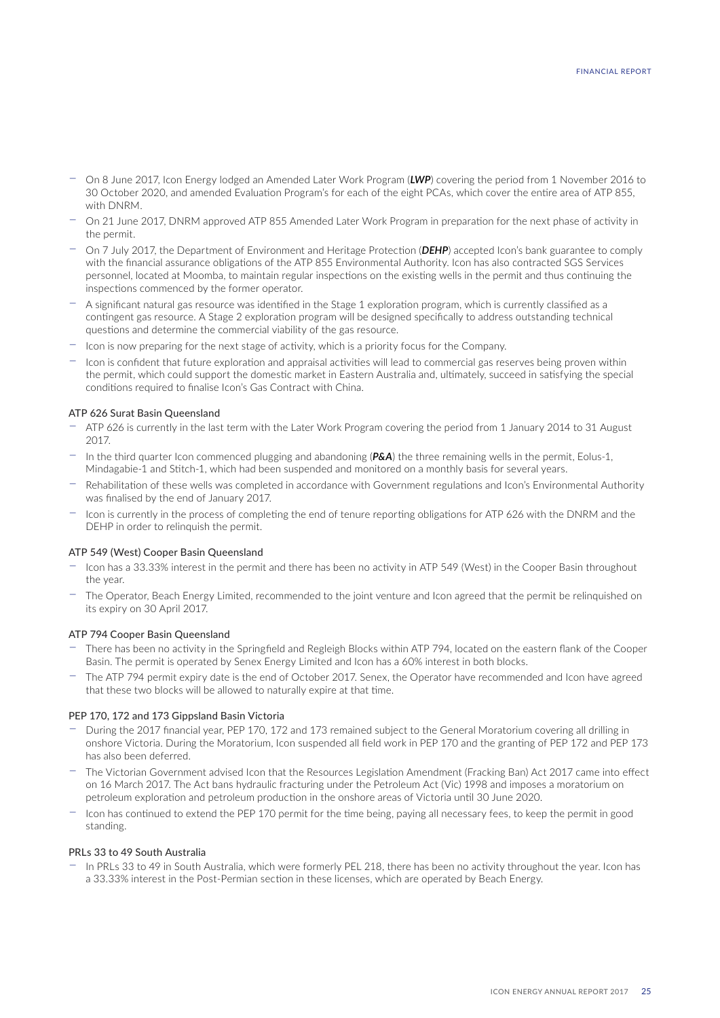- − On 8 June 2017, Icon Energy lodged an Amended Later Work Program (*LWP*) covering the period from 1 November 2016 to 30 October 2020, and amended Evaluation Program's for each of the eight PCAs, which cover the entire area of ATP 855, with DNRM.
- − On 21 June 2017, DNRM approved ATP 855 Amended Later Work Program in preparation for the next phase of activity in the permit.
- − On 7 July 2017, the Department of Environment and Heritage Protection (*DEHP*) accepted Icon's bank guarantee to comply with the financial assurance obligations of the ATP 855 Environmental Authority. Icon has also contracted SGS Services personnel, located at Moomba, to maintain regular inspections on the existing wells in the permit and thus continuing the inspections commenced by the former operator.
- − A significant natural gas resource was identified in the Stage 1 exploration program, which is currently classified as a contingent gas resource. A Stage 2 exploration program will be designed specifically to address outstanding technical questions and determine the commercial viability of the gas resource.
- − Icon is now preparing for the next stage of activity, which is a priority focus for the Company.
- − Icon is confident that future exploration and appraisal activities will lead to commercial gas reserves being proven within the permit, which could support the domestic market in Eastern Australia and, ultimately, succeed in satisfying the special conditions required to finalise Icon's Gas Contract with China.

## ATP 626 Surat Basin Queensland

- − ATP 626 is currently in the last term with the Later Work Program covering the period from 1 January 2014 to 31 August 2017.
- − In the third quarter Icon commenced plugging and abandoning (*P&A*) the three remaining wells in the permit, Eolus-1, Mindagabie-1 and Stitch-1, which had been suspended and monitored on a monthly basis for several years.
- − Rehabilitation of these wells was completed in accordance with Government regulations and Icon's Environmental Authority was finalised by the end of January 2017.
- − Icon is currently in the process of completing the end of tenure reporting obligations for ATP 626 with the DNRM and the DEHP in order to relinquish the permit.

#### ATP 549 (West) Cooper Basin Queensland

- − Icon has a 33.33% interest in the permit and there has been no activity in ATP 549 (West) in the Cooper Basin throughout the year.
- − The Operator, Beach Energy Limited, recommended to the joint venture and Icon agreed that the permit be relinquished on its expiry on 30 April 2017.

### ATP 794 Cooper Basin Queensland

- − There has been no activity in the Springfield and Regleigh Blocks within ATP 794, located on the eastern flank of the Cooper Basin. The permit is operated by Senex Energy Limited and Icon has a 60% interest in both blocks.
- − The ATP 794 permit expiry date is the end of October 2017. Senex, the Operator have recommended and Icon have agreed that these two blocks will be allowed to naturally expire at that time.

#### PEP 170, 172 and 173 Gippsland Basin Victoria

- − During the 2017 financial year, PEP 170, 172 and 173 remained subject to the General Moratorium covering all drilling in onshore Victoria. During the Moratorium, Icon suspended all field work in PEP 170 and the granting of PEP 172 and PEP 173 has also been deferred.
- − The Victorian Government advised Icon that the Resources Legislation Amendment (Fracking Ban) Act 2017 came into effect on 16 March 2017. The Act bans hydraulic fracturing under the Petroleum Act (Vic) 1998 and imposes a moratorium on petroleum exploration and petroleum production in the onshore areas of Victoria until 30 June 2020.
- − Icon has continued to extend the PEP 170 permit for the time being, paying all necessary fees, to keep the permit in good standing.

## PRLs 33 to 49 South Australia

− In PRLs 33 to 49 in South Australia, which were formerly PEL 218, there has been no activity throughout the year. Icon has a 33.33% interest in the Post-Permian section in these licenses, which are operated by Beach Energy.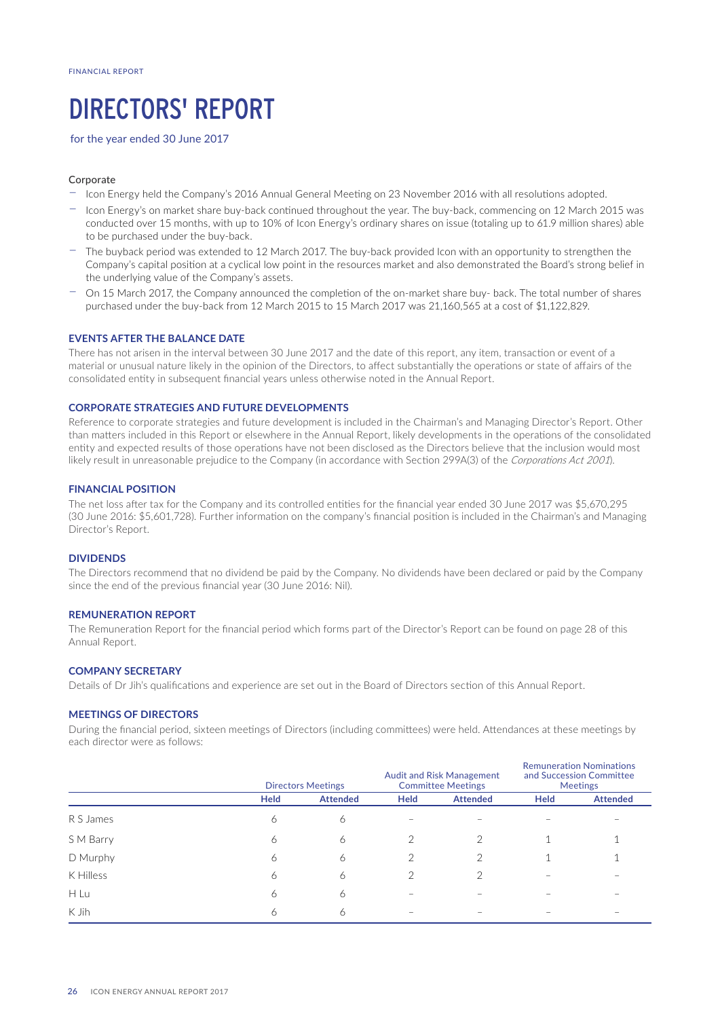# DIRECTORS' REPORT

for the year ended 30 June 2017

# Corporate

- − Icon Energy held the Company's 2016 Annual General Meeting on 23 November 2016 with all resolutions adopted.
- − Icon Energy's on market share buy-back continued throughout the year. The buy-back, commencing on 12 March 2015 was conducted over 15 months, with up to 10% of Icon Energy's ordinary shares on issue (totaling up to 61.9 million shares) able to be purchased under the buy-back.
- The buyback period was extended to 12 March 2017. The buy-back provided Icon with an opportunity to strengthen the Company's capital position at a cyclical low point in the resources market and also demonstrated the Board's strong belief in the underlying value of the Company's assets.
- On 15 March 2017, the Company announced the completion of the on-market share buy- back. The total number of shares purchased under the buy-back from 12 March 2015 to 15 March 2017 was 21,160,565 at a cost of \$1,122,829.

# **EVENTS AFTER THE BALANCE DATE**

There has not arisen in the interval between 30 June 2017 and the date of this report, any item, transaction or event of a material or unusual nature likely in the opinion of the Directors, to affect substantially the operations or state of affairs of the consolidated entity in subsequent financial years unless otherwise noted in the Annual Report.

# **CORPORATE STRATEGIES AND FUTURE DEVELOPMENTS**

Reference to corporate strategies and future development is included in the Chairman's and Managing Director's Report. Other than matters included in this Report or elsewhere in the Annual Report, likely developments in the operations of the consolidated entity and expected results of those operations have not been disclosed as the Directors believe that the inclusion would most likely result in unreasonable prejudice to the Company (in accordance with Section 299A(3) of the *Corporations Act 2001*).

## **FINANCIAL POSITION**

The net loss after tax for the Company and its controlled entities for the financial year ended 30 June 2017 was \$5,670,295 (30 June 2016: \$5,601,728). Further information on the company's financial position is included in the Chairman's and Managing Director's Report.

## **DIVIDENDS**

The Directors recommend that no dividend be paid by the Company. No dividends have been declared or paid by the Company since the end of the previous financial year (30 June 2016: Nil).

## **REMUNERATION REPORT**

The Remuneration Report for the financial period which forms part of the Director's Report can be found on page 28 of this Annual Report.

## **COMPANY SECRETARY**

Details of Dr Jih's qualifications and experience are set out in the Board of Directors section of this Annual Report.

#### **MEETINGS OF DIRECTORS**

During the financial period, sixteen meetings of Directors (including committees) were held. Attendances at these meetings by each director were as follows:

|           |             | <b>Directors Meetings</b> |             | <b>Audit and Risk Management</b><br><b>Committee Meetings</b> | <b>Remuneration Nominations</b><br>and Succession Committee<br>Meetings |                 |
|-----------|-------------|---------------------------|-------------|---------------------------------------------------------------|-------------------------------------------------------------------------|-----------------|
|           | <b>Held</b> | <b>Attended</b>           | <b>Held</b> | <b>Attended</b>                                               | <b>Held</b>                                                             | <b>Attended</b> |
| R S James | 6           | 6                         |             |                                                               |                                                                         |                 |
| S M Barry | 6           | 6                         | っ           | っ                                                             |                                                                         |                 |
| D Murphy  | 6           | 6                         | っ           |                                                               |                                                                         |                 |
| K Hilless | 6           | 6                         | ◠           | っ                                                             |                                                                         |                 |
| H Lu      | 6           | 6                         |             |                                                               |                                                                         |                 |
| K Jih     | 6           | 6                         |             |                                                               |                                                                         |                 |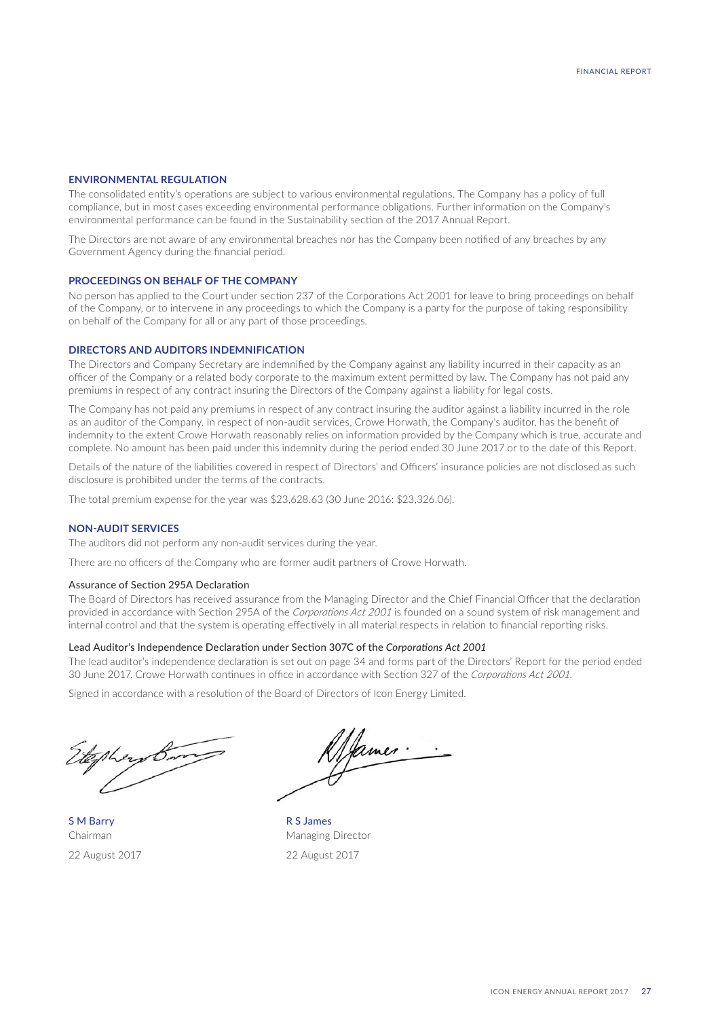# **ENVIRONMENTAL REGULATION**

The consolidated entity's operations are subject to various environmental regulations. The Company has a policy of full compliance, but in most cases exceeding environmental performance obligations. Further information on the Company's environmental performance can be found in the Sustainability section of the 2017 Annual Report.

The Directors are not aware of any environmental breaches nor has the Company been notified of any breaches by any Government Agency during the financial period.

#### **PROCEEDINGS ON BEHALF OF THE COMPANY**

No person has applied to the Court under section 237 of the Corporations Act 2001 for leave to bring proceedings on behalf of the Company, or to intervene in any proceedings to which the Company is a party for the purpose of taking responsibility on behalf of the Company for all or any part of those proceedings.

## **DIRECTORS AND AUDITORS INDEMNIFICATION**

The Directors and Company Secretary are indemnified by the Company against any liability incurred in their capacity as an officer of the Company or a related body corporate to the maximum extent permitted by law. The Company has not paid any premiums in respect of any contract insuring the Directors of the Company against a liability for legal costs.

The Company has not paid any premiums in respect of any contract insuring the auditor against a liability incurred in the role as an auditor of the Company. In respect of non-audit services, Crowe Horwath, the Company's auditor, has the benefit of indemnity to the extent Crowe Horwath reasonably relies on information provided by the Company which is true, accurate and complete. No amount has been paid under this indemnity during the period ended 30 June 2017 or to the date of this Report.

Details of the nature of the liabilities covered in respect of Directors' and Officers' insurance policies are not disclosed as such disclosure is prohibited under the terms of the contracts.

The total premium expense for the year was \$23,628.63 (30 June 2016: \$23,326.06).

#### **NON-AUDIT SERVICES**

The auditors did not perform any non-audit services during the year.

There are no officers of the Company who are former audit partners of Crowe Horwath.

# Assurance of Section 295A Declaration

The Board of Directors has received assurance from the Managing Director and the Chief Financial Officer that the declaration provided in accordance with Section 295A of the *Corporations Act 2001* is founded on a sound system of risk management and internal control and that the system is operating effectively in all material respects in relation to financial reporting risks.

#### Lead Auditor's Independence Declaration under Section 307C of the *Corporations Act 2001*

The lead auditor's independence declaration is set out on page 34 and forms part of the Directors' Report for the period ended 30 June 2017. Crowe Horwath continues in office in accordance with Section 327 of the *Corporations Act 2001*.

Signed in accordance with a resolution of the Board of Directors of Icon Energy Limited.

Ahey Br

S M Barry R S James

James.

Chairman Managing Director 22 August 2017 22 August 2017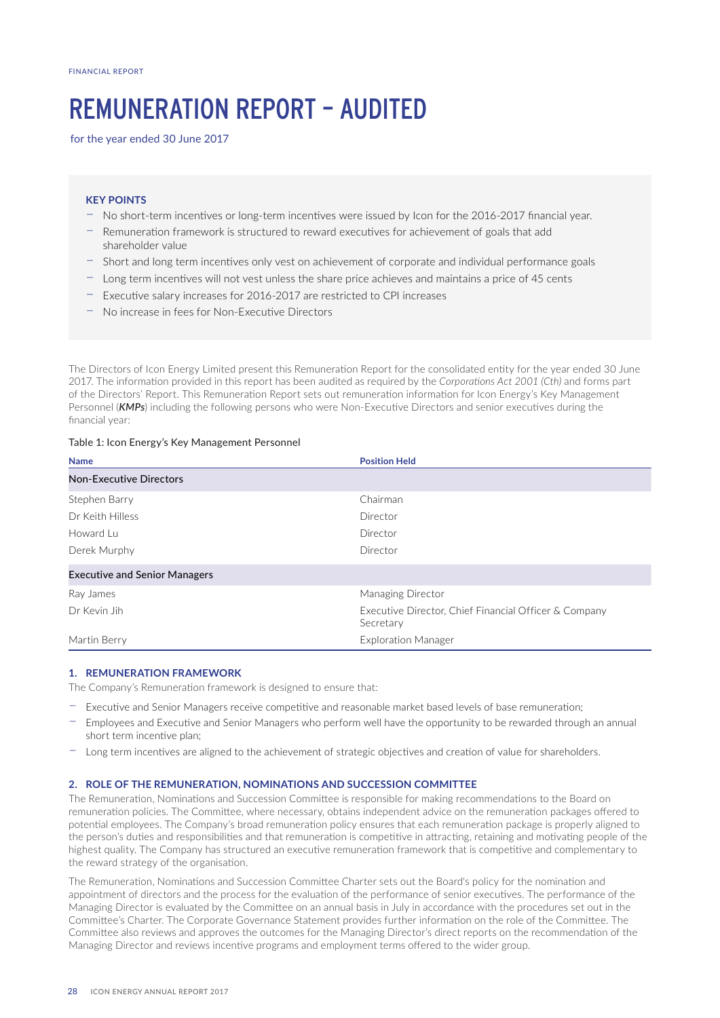# REMUNERATION REPORT – AUDITED

for the year ended 30 June 2017

# **KEY POINTS**

- − No short-term incentives or long-term incentives were issued by Icon for the 2016-2017 financial year.
- − Remuneration framework is structured to reward executives for achievement of goals that add shareholder value
- − Short and long term incentives only vest on achievement of corporate and individual performance goals
- − Long term incentives will not vest unless the share price achieves and maintains a price of 45 cents
- − Executive salary increases for 2016-2017 are restricted to CPI increases
- − No increase in fees for Non-Executive Directors

The Directors of Icon Energy Limited present this Remuneration Report for the consolidated entity for the year ended 30 June 2017. The information provided in this report has been audited as required by the *Corporations Act 2001 (Cth)* and forms part of the Directors' Report. This Remuneration Report sets out remuneration information for Icon Energy's Key Management Personnel (*KMPs*) including the following persons who were Non-Executive Directors and senior executives during the financial year:

# Table 1: Icon Energy's Key Management Personnel

| <b>Name</b>                          | <b>Position Held</b>                                               |
|--------------------------------------|--------------------------------------------------------------------|
| <b>Non-Executive Directors</b>       |                                                                    |
| Stephen Barry                        | Chairman                                                           |
| Dr Keith Hilless                     | Director                                                           |
| Howard Lu                            | Director                                                           |
| Derek Murphy                         | Director                                                           |
| <b>Executive and Senior Managers</b> |                                                                    |
| Ray James                            | Managing Director                                                  |
| Dr Kevin Jih                         | Executive Director, Chief Financial Officer & Company<br>Secretary |
| Martin Berry                         | <b>Exploration Manager</b>                                         |

## **1. REMUNERATION FRAMEWORK**

The Company's Remuneration framework is designed to ensure that:

- − Executive and Senior Managers receive competitive and reasonable market based levels of base remuneration;
- − Employees and Executive and Senior Managers who perform well have the opportunity to be rewarded through an annual short term incentive plan;
- − Long term incentives are aligned to the achievement of strategic objectives and creation of value for shareholders.

## **2. ROLE OF THE REMUNERATION, NOMINATIONS AND SUCCESSION COMMITTEE**

The Remuneration, Nominations and Succession Committee is responsible for making recommendations to the Board on remuneration policies. The Committee, where necessary, obtains independent advice on the remuneration packages offered to potential employees. The Company's broad remuneration policy ensures that each remuneration package is properly aligned to the person's duties and responsibilities and that remuneration is competitive in attracting, retaining and motivating people of the highest quality. The Company has structured an executive remuneration framework that is competitive and complementary to the reward strategy of the organisation.

The Remuneration, Nominations and Succession Committee Charter sets out the Board's policy for the nomination and appointment of directors and the process for the evaluation of the performance of senior executives. The performance of the Managing Director is evaluated by the Committee on an annual basis in July in accordance with the procedures set out in the Committee's Charter. The Corporate Governance Statement provides further information on the role of the Committee. The Committee also reviews and approves the outcomes for the Managing Director's direct reports on the recommendation of the Managing Director and reviews incentive programs and employment terms offered to the wider group.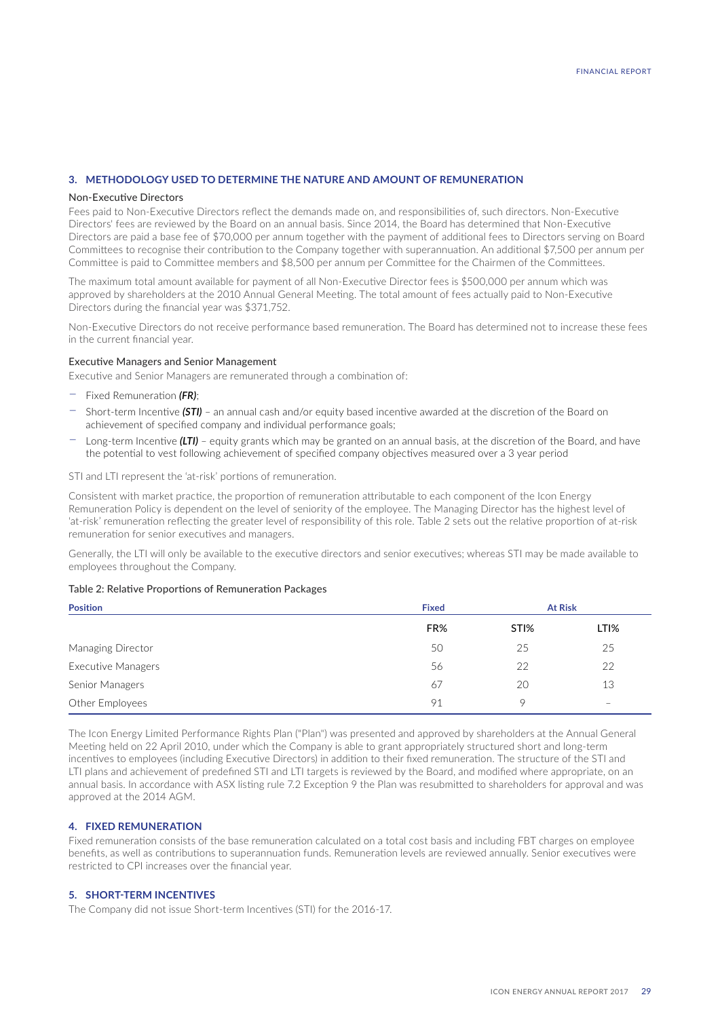# **3. METHODOLOGY USED TO DETERMINE THE NATURE AND AMOUNT OF REMUNERATION**

#### Non-Executive Directors

Fees paid to Non-Executive Directors reflect the demands made on, and responsibilities of, such directors. Non-Executive Directors' fees are reviewed by the Board on an annual basis. Since 2014, the Board has determined that Non-Executive Directors are paid a base fee of \$70,000 per annum together with the payment of additional fees to Directors serving on Board Committees to recognise their contribution to the Company together with superannuation. An additional \$7,500 per annum per Committee is paid to Committee members and \$8,500 per annum per Committee for the Chairmen of the Committees.

The maximum total amount available for payment of all Non-Executive Director fees is \$500,000 per annum which was approved by shareholders at the 2010 Annual General Meeting. The total amount of fees actually paid to Non-Executive Directors during the financial year was \$371,752.

Non-Executive Directors do not receive performance based remuneration. The Board has determined not to increase these fees in the current financial year.

### Executive Managers and Senior Management

Executive and Senior Managers are remunerated through a combination of:

- − Fixed Remuneration *(FR)*;
- − Short-term Incentive *(STI)* an annual cash and/or equity based incentive awarded at the discretion of the Board on achievement of specified company and individual performance goals;
- − Long-term Incentive *(LTI)* equity grants which may be granted on an annual basis, at the discretion of the Board, and have the potential to vest following achievement of specified company objectives measured over a 3 year period

STI and LTI represent the 'at-risk' portions of remuneration.

Consistent with market practice, the proportion of remuneration attributable to each component of the Icon Energy Remuneration Policy is dependent on the level of seniority of the employee. The Managing Director has the highest level of 'at-risk' remuneration reflecting the greater level of responsibility of this role. Table 2 sets out the relative proportion of at-risk remuneration for senior executives and managers.

Generally, the LTI will only be available to the executive directors and senior executives; whereas STI may be made available to employees throughout the Company.

#### Table 2: Relative Proportions of Remuneration Packages

| <b>Position</b>    | <b>Fixed</b> | <b>At Risk</b>   |                   |  |
|--------------------|--------------|------------------|-------------------|--|
|                    | FR%          | STI <sub>%</sub> | LTI%              |  |
| Managing Director  | 50           | 25               | 25                |  |
| Executive Managers | 56           | 22               | 22                |  |
| Senior Managers    | 67           | 20               | 13                |  |
| Other Employees    | 91           | 9                | $\qquad \qquad -$ |  |

The Icon Energy Limited Performance Rights Plan ("Plan") was presented and approved by shareholders at the Annual General Meeting held on 22 April 2010, under which the Company is able to grant appropriately structured short and long-term incentives to employees (including Executive Directors) in addition to their fixed remuneration. The structure of the STI and LTI plans and achievement of predefined STI and LTI targets is reviewed by the Board, and modified where appropriate, on an annual basis. In accordance with ASX listing rule 7.2 Exception 9 the Plan was resubmitted to shareholders for approval and was approved at the 2014 AGM.

## **4. FIXED REMUNERATION**

Fixed remuneration consists of the base remuneration calculated on a total cost basis and including FBT charges on employee benefits, as well as contributions to superannuation funds. Remuneration levels are reviewed annually. Senior executives were restricted to CPI increases over the financial year.

## **5. SHORT-TERM INCENTIVES**

The Company did not issue Short-term Incentives (STI) for the 2016-17.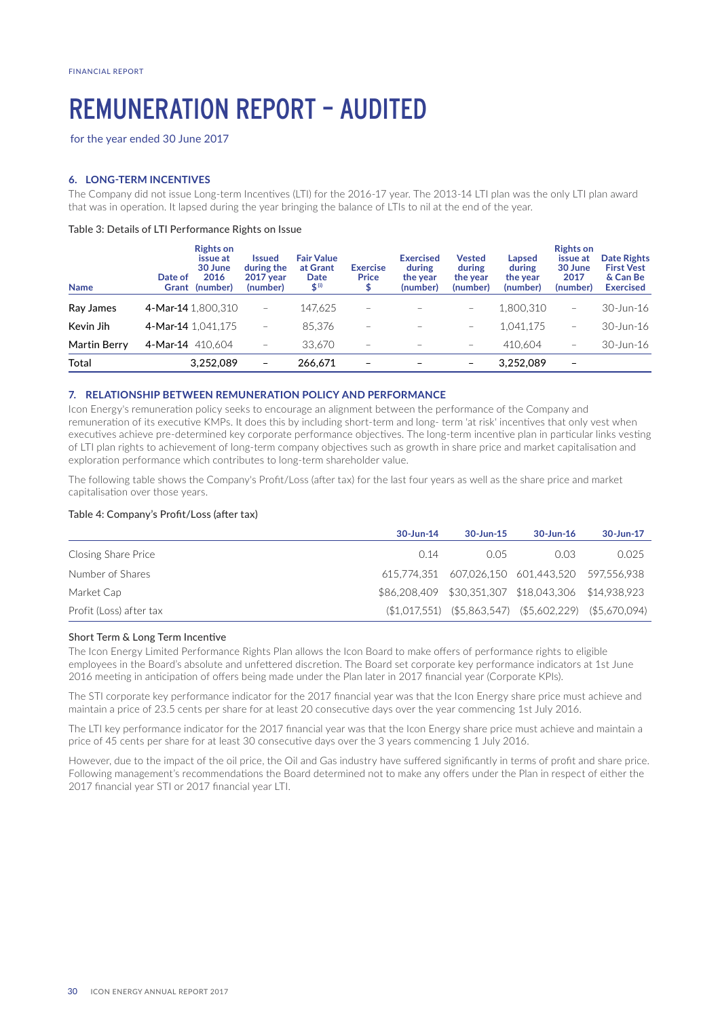# REMUNERATION REPORT – AUDITED

for the year ended 30 June 2017

# **6. LONG-TERM INCENTIVES**

The Company did not issue Long-term Incentives (LTI) for the 2016-17 year. The 2013-14 LTI plan was the only LTI plan award that was in operation. It lapsed during the year bringing the balance of LTIs to nil at the end of the year.

### Table 3: Details of LTI Performance Rights on Issue

| <b>Name</b>  | <b>Rights on</b><br>issue at<br>30 June<br>2016<br>Date of<br>(number)<br>Grant | <b>Issued</b><br>during the<br><b>2017 year</b><br>(number) | <b>Fair Value</b><br>at Grant<br>Date<br>$$^{(i)}$$ | <b>Exercise</b><br><b>Price</b><br>₽ | <b>Exercised</b><br>during<br>the year<br>(number) | <b>Vested</b><br>during<br>the year<br>(number) | Lapsed<br>during<br>the year<br>(number) | <b>Rights on</b><br>issue at<br>30 June<br>2017<br>(number) | <b>Date Rights</b><br><b>First Vest</b><br>& Can Be<br><b>Exercised</b> |
|--------------|---------------------------------------------------------------------------------|-------------------------------------------------------------|-----------------------------------------------------|--------------------------------------|----------------------------------------------------|-------------------------------------------------|------------------------------------------|-------------------------------------------------------------|-------------------------------------------------------------------------|
| Ray James    | 4-Mar-14 1,800,310                                                              | $\overline{\phantom{0}}$                                    | 147,625                                             | $\overline{\phantom{m}}$             |                                                    | $\overline{\phantom{m}}$                        | 1.800.310                                | $\equiv$                                                    | 30-Jun-16                                                               |
| Kevin Jih    | 4-Mar-14 1.041.175                                                              | -                                                           | 85.376                                              | $\qquad \qquad -$                    |                                                    | $\overline{\phantom{m}}$                        | 1.041.175                                | $\overline{\phantom{m}}$                                    | 30-Jun-16                                                               |
| Martin Berry | 4-Mar-14 410,604                                                                | -                                                           | 33.670                                              | $\overline{\phantom{m}}$             |                                                    | $\overline{\phantom{m}}$                        | 410.604                                  | $\qquad \qquad -$                                           | 30-Jun-16                                                               |
| Total        | 3.252.089                                                                       | -                                                           | 266,671                                             | $\overline{\phantom{a}}$             |                                                    |                                                 | 3,252,089                                |                                                             |                                                                         |

## **7. RELATIONSHIP BETWEEN REMUNERATION POLICY AND PERFORMANCE**

Icon Energy's remuneration policy seeks to encourage an alignment between the performance of the Company and remuneration of its executive KMPs. It does this by including short-term and long- term 'at risk' incentives that only vest when executives achieve pre-determined key corporate performance objectives. The long-term incentive plan in particular links vesting of LTI plan rights to achievement of long-term company objectives such as growth in share price and market capitalisation and exploration performance which contributes to long-term shareholder value.

The following table shows the Company's Profit/Loss (after tax) for the last four years as well as the share price and market capitalisation over those years.

# Table 4: Company's Profit/Loss (after tax)

|                         | 30-Jun-14   | 30-Jun-15 | $30$ -Jun-16                                                | 30-Jun-17 |
|-------------------------|-------------|-----------|-------------------------------------------------------------|-----------|
| Closing Share Price     | $\Omega$ 14 | O 05      | 0.03                                                        | 0.025     |
| Number of Shares        |             |           | 615,774,351 607,026,150 601,443,520 597,556,938             |           |
| Market Cap              |             |           | \$86,208,409 \$30,351,307 \$18,043,306 \$14,938,923         |           |
| Profit (Loss) after tax |             |           | $($1,017,551)$ $($5,863,547)$ $($5,602,229)$ $($5,670,094)$ |           |

#### Short Term & Long Term Incentive

The Icon Energy Limited Performance Rights Plan allows the Icon Board to make offers of performance rights to eligible employees in the Board's absolute and unfettered discretion. The Board set corporate key performance indicators at 1st June 2016 meeting in anticipation of offers being made under the Plan later in 2017 financial year (Corporate KPIs).

The STI corporate key performance indicator for the 2017 financial year was that the Icon Energy share price must achieve and maintain a price of 23.5 cents per share for at least 20 consecutive days over the year commencing 1st July 2016.

The LTI key performance indicator for the 2017 financial year was that the Icon Energy share price must achieve and maintain a price of 45 cents per share for at least 30 consecutive days over the 3 years commencing 1 July 2016.

However, due to the impact of the oil price, the Oil and Gas industry have suffered significantly in terms of profit and share price. Following management's recommendations the Board determined not to make any offers under the Plan in respect of either the 2017 financial year STI or 2017 financial year LTI.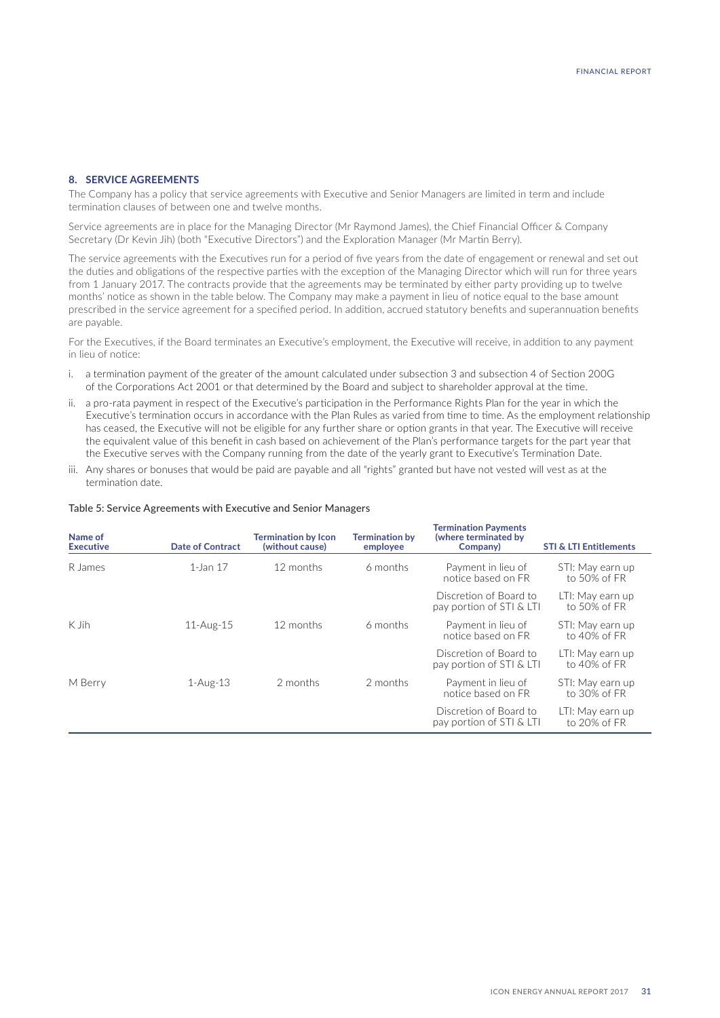# **8. SERVICE AGREEMENTS**

The Company has a policy that service agreements with Executive and Senior Managers are limited in term and include termination clauses of between one and twelve months.

Service agreements are in place for the Managing Director (Mr Raymond James), the Chief Financial Officer & Company Secretary (Dr Kevin Jih) (both "Executive Directors") and the Exploration Manager (Mr Martin Berry).

The service agreements with the Executives run for a period of five years from the date of engagement or renewal and set out the duties and obligations of the respective parties with the exception of the Managing Director which will run for three years from 1 January 2017. The contracts provide that the agreements may be terminated by either party providing up to twelve months' notice as shown in the table below. The Company may make a payment in lieu of notice equal to the base amount prescribed in the service agreement for a specified period. In addition, accrued statutory benefits and superannuation benefits are payable.

For the Executives, if the Board terminates an Executive's employment, the Executive will receive, in addition to any payment in lieu of notice:

- i. a termination payment of the greater of the amount calculated under subsection 3 and subsection 4 of Section 200G of the Corporations Act 2001 or that determined by the Board and subject to shareholder approval at the time.
- ii. a pro-rata payment in respect of the Executive's participation in the Performance Rights Plan for the year in which the Executive's termination occurs in accordance with the Plan Rules as varied from time to time. As the employment relationship has ceased, the Executive will not be eligible for any further share or option grants in that year. The Executive will receive the equivalent value of this benefit in cash based on achievement of the Plan's performance targets for the part year that the Executive serves with the Company running from the date of the yearly grant to Executive's Termination Date.
- iii. Any shares or bonuses that would be paid are payable and all "rights" granted but have not vested will vest as at the termination date.

#### Table 5: Service Agreements with Executive and Senior Managers

| Name of<br><b>Executive</b> | <b>Date of Contract</b> | <b>Termination by Icon</b><br>(without cause) | <b>Termination by</b><br>employee | <b>Termination Payments</b><br>(where terminated by<br>Company) | <b>STI &amp; LTI Entitlements</b>   |
|-----------------------------|-------------------------|-----------------------------------------------|-----------------------------------|-----------------------------------------------------------------|-------------------------------------|
| R James                     | 1-Jan 17                | 12 months                                     | 6 months                          | Payment in lieu of<br>notice based on FR                        | STI: May earn up<br>to 50% of FR    |
|                             |                         |                                               |                                   | Discretion of Board to<br>pay portion of STI & LTI              | LTI: May earn up<br>to 50% of FR    |
| K Jih                       | $11-Aug-15$             | 12 months                                     | 6 months                          | Payment in lieu of<br>notice based on FR                        | STI: May earn up<br>to $40\%$ of FR |
|                             |                         |                                               |                                   | Discretion of Board to<br>pay portion of STI & LTI              | LTI: May earn up<br>to $40\%$ of FR |
| M Berry                     | $1-Aug-13$              | 2 months                                      | 2 months                          | Payment in lieu of<br>notice based on FR                        | STI: May earn up<br>to 30% of FR    |
|                             |                         |                                               |                                   | Discretion of Board to<br>pay portion of STI & LTI              | LTI: May earn up<br>to 20% of FR    |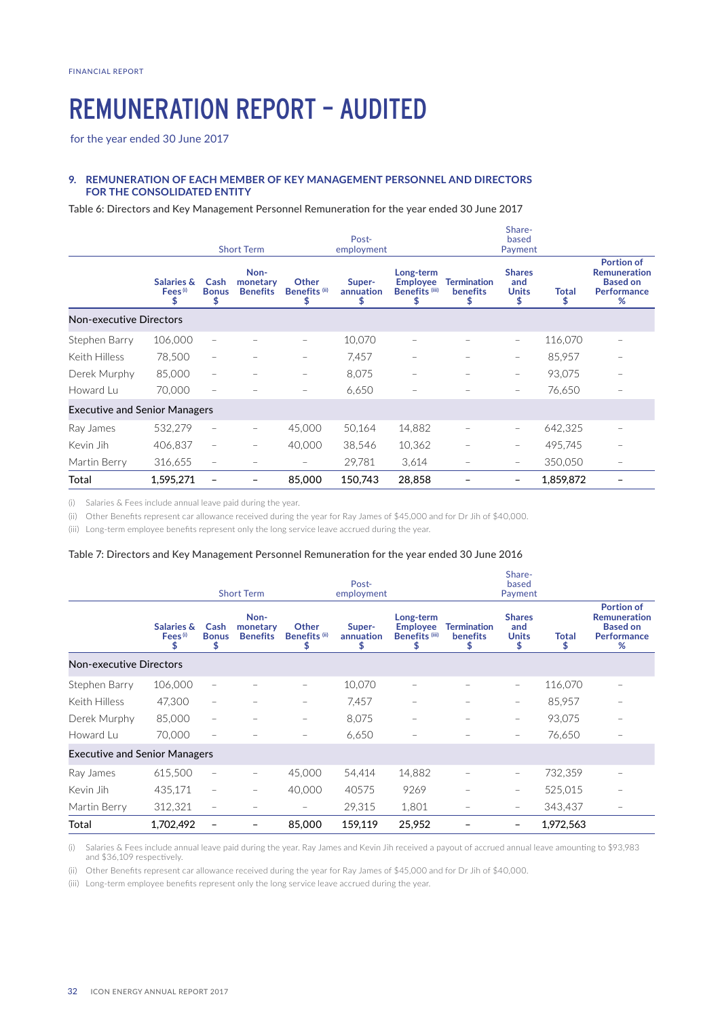# REMUNERATION REPORT – AUDITED

for the year ended 30 June 2017

# **9. REMUNERATION OF EACH MEMBER OF KEY MANAGEMENT PERSONNEL AND DIRECTORS FOR THE CONSOLIDATED ENTITY**

Table 6: Directors and Key Management Personnel Remuneration for the year ended 30 June 2017

|                                      |                                                   |                           | <b>Short Term</b>                   |                                         | Post-<br>employment      |                                                                |                                     | Share-<br>based<br>Payment                 |            |                                                                                        |
|--------------------------------------|---------------------------------------------------|---------------------------|-------------------------------------|-----------------------------------------|--------------------------|----------------------------------------------------------------|-------------------------------------|--------------------------------------------|------------|----------------------------------------------------------------------------------------|
|                                      | <b>Salaries &amp;</b><br>Fees <sup>(i)</sup><br>S | Cash<br><b>Bonus</b><br>S | Non-<br>monetary<br><b>Benefits</b> | Other<br>Benefits <sup>(ii)</sup><br>\$ | Super-<br>annuation<br>S | Long-term<br><b>Employee</b><br>Benefits <sup>(iii)</sup><br>S | <b>Termination</b><br>benefits<br>S | <b>Shares</b><br>and<br><b>Units</b><br>\$ | Total<br>S | <b>Portion of</b><br><b>Remuneration</b><br><b>Based on</b><br><b>Performance</b><br>% |
| <b>Non-executive Directors</b>       |                                                   |                           |                                     |                                         |                          |                                                                |                                     |                                            |            |                                                                                        |
| Stephen Barry                        | 106,000                                           | $\qquad \qquad -$         |                                     |                                         | 10.070                   |                                                                |                                     | $\overline{\phantom{m}}$                   | 116,070    |                                                                                        |
| Keith Hilless                        | 78,500                                            | $\qquad \qquad -$         |                                     | $\qquad \qquad \longleftarrow$          | 7,457                    |                                                                |                                     | $\overline{\phantom{m}}$                   | 85,957     |                                                                                        |
| Derek Murphy                         | 85,000                                            | $\qquad \qquad -$         |                                     | $\equiv$                                | 8,075                    |                                                                |                                     | $\overline{\phantom{m}}$                   | 93,075     |                                                                                        |
| Howard Lu                            | 70,000                                            |                           |                                     |                                         | 6,650                    |                                                                |                                     | $\overline{\phantom{m}}$                   | 76,650     |                                                                                        |
| <b>Executive and Senior Managers</b> |                                                   |                           |                                     |                                         |                          |                                                                |                                     |                                            |            |                                                                                        |
| Ray James                            | 532,279                                           | $\overline{\phantom{m}}$  |                                     | 45,000                                  | 50,164                   | 14,882                                                         |                                     | $\overline{\phantom{m}}$                   | 642,325    |                                                                                        |
| Kevin Jih                            | 406,837                                           | $\qquad \qquad -$         |                                     | 40.000                                  | 38,546                   | 10,362                                                         |                                     | $\overline{\phantom{m}}$                   | 495,745    |                                                                                        |
| Martin Berry                         | 316,655                                           | $\qquad \qquad -$         |                                     | $\qquad \qquad -$                       | 29,781                   | 3,614                                                          |                                     | $\overline{\phantom{m}}$                   | 350,050    | $\qquad \qquad -$                                                                      |
| Total                                | 1,595,271                                         |                           |                                     | 85,000                                  | 150,743                  | 28,858                                                         |                                     |                                            | 1,859,872  |                                                                                        |

(i) Salaries & Fees include annual leave paid during the year.

(ii) Other Benefits represent car allowance received during the year for Ray James of \$45,000 and for Dr Jih of \$40,000.

(iii) Long-term employee benefits represent only the long service leave accrued during the year.

#### Table 7: Directors and Key Management Personnel Remuneration for the year ended 30 June 2016

|                                      |                                              |                              | <b>Short Term</b>                   |                                                | Post-<br>employment       |                                                            |                                       | Share-<br>based<br>Payment                 |                    |                                                                                        |
|--------------------------------------|----------------------------------------------|------------------------------|-------------------------------------|------------------------------------------------|---------------------------|------------------------------------------------------------|---------------------------------------|--------------------------------------------|--------------------|----------------------------------------------------------------------------------------|
|                                      | <b>Salaries &amp;</b><br>Fees <sup>(i)</sup> | Cash<br><b>Bonus</b><br>\$   | Non-<br>monetary<br><b>Benefits</b> | <b>Other</b><br>Benefits <sup>(ii)</sup><br>\$ | Super-<br>annuation<br>\$ | Long-term<br><b>Employee</b><br><b>Benefits (iii)</b><br>S | <b>Termination</b><br><b>benefits</b> | <b>Shares</b><br>and<br><b>Units</b><br>\$ | <b>Total</b><br>\$ | <b>Portion of</b><br><b>Remuneration</b><br><b>Based on</b><br><b>Performance</b><br>% |
| <b>Non-executive Directors</b>       |                                              |                              |                                     |                                                |                           |                                                            |                                       |                                            |                    |                                                                                        |
| Stephen Barry                        | 106,000                                      | $\qquad \qquad -$            |                                     | -                                              | 10,070                    | -                                                          |                                       | $\overline{\phantom{m}}$                   | 116,070            |                                                                                        |
| Keith Hilless                        | 47,300                                       | $\overline{\phantom{0}}$     |                                     |                                                | 7,457                     |                                                            |                                       | $\overline{\phantom{m}}$                   | 85,957             |                                                                                        |
| Derek Murphy                         | 85,000                                       | $\qquad \qquad -$            |                                     | -                                              | 8,075                     | $\overline{\phantom{0}}$                                   |                                       | $\overline{\phantom{a}}$                   | 93,075             |                                                                                        |
| Howard Lu                            | 70,000                                       | $\overline{\phantom{0}}$     |                                     |                                                | 6,650                     |                                                            |                                       | $\overline{\phantom{a}}$                   | 76,650             |                                                                                        |
| <b>Executive and Senior Managers</b> |                                              |                              |                                     |                                                |                           |                                                            |                                       |                                            |                    |                                                                                        |
| Ray James                            | 615,500                                      | $\qquad \qquad \blacksquare$ |                                     | 45,000                                         | 54,414                    | 14,882                                                     |                                       | $\overline{\phantom{m}}$                   | 732,359            |                                                                                        |
| Kevin Jih                            | 435,171                                      | $\qquad \qquad =$            |                                     | 40,000                                         | 40575                     | 9269                                                       |                                       | $\overline{\phantom{m}}$                   | 525,015            |                                                                                        |
| Martin Berry                         | 312,321                                      | $\qquad \qquad -$            |                                     |                                                | 29,315                    | 1,801                                                      |                                       |                                            | 343,437            |                                                                                        |
| Total                                | 1,702,492                                    |                              |                                     | 85,000                                         | 159,119                   | 25,952                                                     |                                       |                                            | 1,972,563          |                                                                                        |

(i) Salaries & Fees include annual leave paid during the year. Ray James and Kevin Jih received a payout of accrued annual leave amounting to \$93,983 and \$36,109 respectively.

(ii) Other Benefits represent car allowance received during the year for Ray James of \$45,000 and for Dr Jih of \$40,000.

(iii) Long-term employee benefits represent only the long service leave accrued during the year.